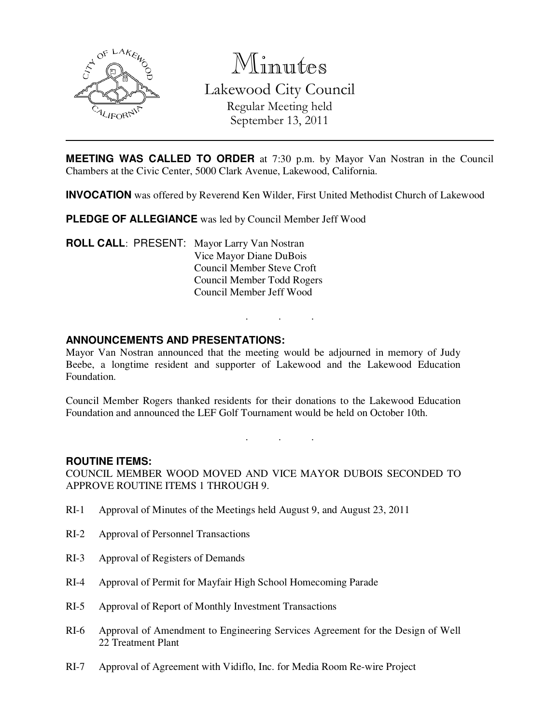

Minutes Lakewood City Council Regular Meeting held

September 13, 2011

**MEETING WAS CALLED TO ORDER** at 7:30 p.m. by Mayor Van Nostran in the Council Chambers at the Civic Center, 5000 Clark Avenue, Lakewood, California.

**INVOCATION** was offered by Reverend Ken Wilder, First United Methodist Church of Lakewood

**PLEDGE OF ALLEGIANCE** was led by Council Member Jeff Wood

**ROLL CALL**: PRESENT: Mayor Larry Van Nostran Vice Mayor Diane DuBois Council Member Steve Croft Council Member Todd Rogers Council Member Jeff Wood

### **ANNOUNCEMENTS AND PRESENTATIONS:**

Mayor Van Nostran announced that the meeting would be adjourned in memory of Judy Beebe, a longtime resident and supporter of Lakewood and the Lakewood Education Foundation.

. . .

Council Member Rogers thanked residents for their donations to the Lakewood Education Foundation and announced the LEF Golf Tournament would be held on October 10th.

. . .

#### **ROUTINE ITEMS:**

COUNCIL MEMBER WOOD MOVED AND VICE MAYOR DUBOIS SECONDED TO APPROVE ROUTINE ITEMS 1 THROUGH 9.

- RI-1 Approval of Minutes of the Meetings held August 9, and August 23, 2011
- RI-2 Approval of Personnel Transactions
- RI-3 Approval of Registers of Demands
- RI-4 Approval of Permit for Mayfair High School Homecoming Parade
- RI-5 Approval of Report of Monthly Investment Transactions
- RI-6 Approval of Amendment to Engineering Services Agreement for the Design of Well 22 Treatment Plant
- RI-7 Approval of Agreement with Vidiflo, Inc. for Media Room Re-wire Project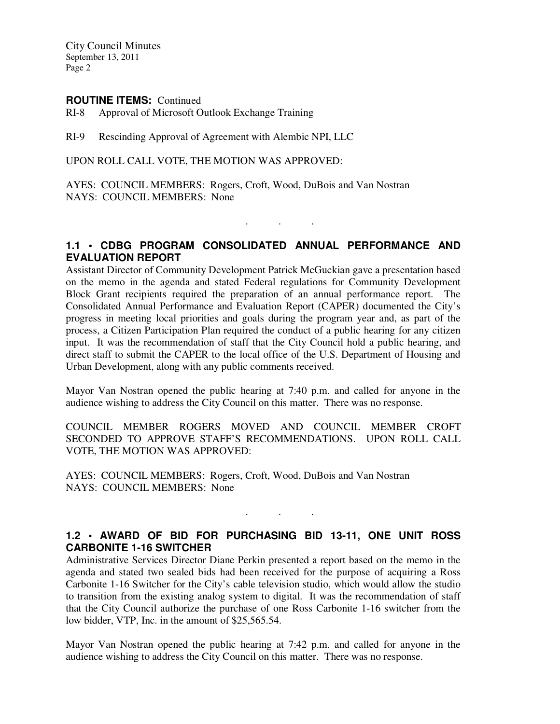City Council Minutes September 13, 2011 Page 2

#### **ROUTINE ITEMS:** Continued

RI-8 Approval of Microsoft Outlook Exchange Training

RI-9 Rescinding Approval of Agreement with Alembic NPI, LLC

UPON ROLL CALL VOTE, THE MOTION WAS APPROVED:

AYES: COUNCIL MEMBERS: Rogers, Croft, Wood, DuBois and Van Nostran NAYS: COUNCIL MEMBERS: None

### **1.1 • CDBG PROGRAM CONSOLIDATED ANNUAL PERFORMANCE AND EVALUATION REPORT**

. . .

Assistant Director of Community Development Patrick McGuckian gave a presentation based on the memo in the agenda and stated Federal regulations for Community Development Block Grant recipients required the preparation of an annual performance report. The Consolidated Annual Performance and Evaluation Report (CAPER) documented the City's progress in meeting local priorities and goals during the program year and, as part of the process, a Citizen Participation Plan required the conduct of a public hearing for any citizen input. It was the recommendation of staff that the City Council hold a public hearing, and direct staff to submit the CAPER to the local office of the U.S. Department of Housing and Urban Development, along with any public comments received.

Mayor Van Nostran opened the public hearing at 7:40 p.m. and called for anyone in the audience wishing to address the City Council on this matter. There was no response.

COUNCIL MEMBER ROGERS MOVED AND COUNCIL MEMBER CROFT SECONDED TO APPROVE STAFF'S RECOMMENDATIONS. UPON ROLL CALL VOTE, THE MOTION WAS APPROVED:

AYES: COUNCIL MEMBERS: Rogers, Croft, Wood, DuBois and Van Nostran NAYS: COUNCIL MEMBERS: None

# **1.2 • AWARD OF BID FOR PURCHASING BID 13-11, ONE UNIT ROSS CARBONITE 1-16 SWITCHER**

. . .

Administrative Services Director Diane Perkin presented a report based on the memo in the agenda and stated two sealed bids had been received for the purpose of acquiring a Ross Carbonite 1-16 Switcher for the City's cable television studio, which would allow the studio to transition from the existing analog system to digital. It was the recommendation of staff that the City Council authorize the purchase of one Ross Carbonite 1-16 switcher from the low bidder, VTP, Inc. in the amount of \$25,565.54.

Mayor Van Nostran opened the public hearing at 7:42 p.m. and called for anyone in the audience wishing to address the City Council on this matter. There was no response.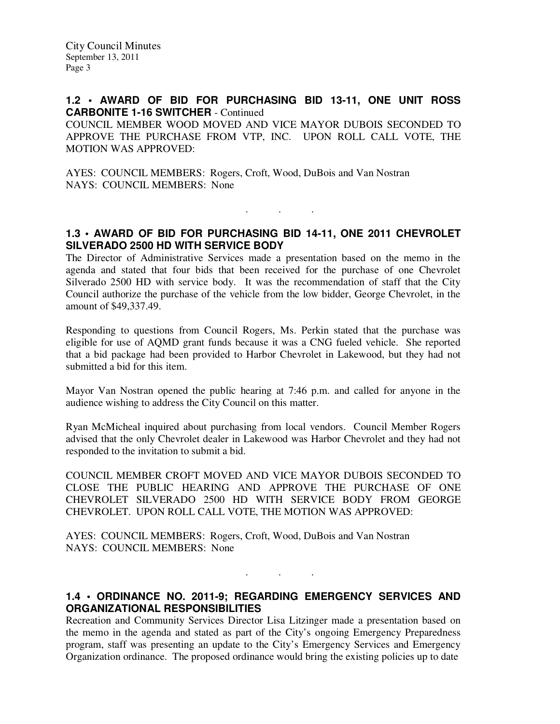#### **1.2 • AWARD OF BID FOR PURCHASING BID 13-11, ONE UNIT ROSS CARBONITE 1-16 SWITCHER** - Continued

COUNCIL MEMBER WOOD MOVED AND VICE MAYOR DUBOIS SECONDED TO APPROVE THE PURCHASE FROM VTP, INC. UPON ROLL CALL VOTE, THE MOTION WAS APPROVED:

AYES: COUNCIL MEMBERS: Rogers, Croft, Wood, DuBois and Van Nostran NAYS: COUNCIL MEMBERS: None

# **1.3 • AWARD OF BID FOR PURCHASING BID 14-11, ONE 2011 CHEVROLET SILVERADO 2500 HD WITH SERVICE BODY**

. . .

The Director of Administrative Services made a presentation based on the memo in the agenda and stated that four bids that been received for the purchase of one Chevrolet Silverado 2500 HD with service body. It was the recommendation of staff that the City Council authorize the purchase of the vehicle from the low bidder, George Chevrolet, in the amount of \$49,337.49.

Responding to questions from Council Rogers, Ms. Perkin stated that the purchase was eligible for use of AQMD grant funds because it was a CNG fueled vehicle. She reported that a bid package had been provided to Harbor Chevrolet in Lakewood, but they had not submitted a bid for this item.

Mayor Van Nostran opened the public hearing at 7:46 p.m. and called for anyone in the audience wishing to address the City Council on this matter.

Ryan McMicheal inquired about purchasing from local vendors. Council Member Rogers advised that the only Chevrolet dealer in Lakewood was Harbor Chevrolet and they had not responded to the invitation to submit a bid.

COUNCIL MEMBER CROFT MOVED AND VICE MAYOR DUBOIS SECONDED TO CLOSE THE PUBLIC HEARING AND APPROVE THE PURCHASE OF ONE CHEVROLET SILVERADO 2500 HD WITH SERVICE BODY FROM GEORGE CHEVROLET. UPON ROLL CALL VOTE, THE MOTION WAS APPROVED:

AYES: COUNCIL MEMBERS: Rogers, Croft, Wood, DuBois and Van Nostran NAYS: COUNCIL MEMBERS: None

# **1.4 • ORDINANCE NO. 2011-9; REGARDING EMERGENCY SERVICES AND ORGANIZATIONAL RESPONSIBILITIES**

. . .

Recreation and Community Services Director Lisa Litzinger made a presentation based on the memo in the agenda and stated as part of the City's ongoing Emergency Preparedness program, staff was presenting an update to the City's Emergency Services and Emergency Organization ordinance. The proposed ordinance would bring the existing policies up to date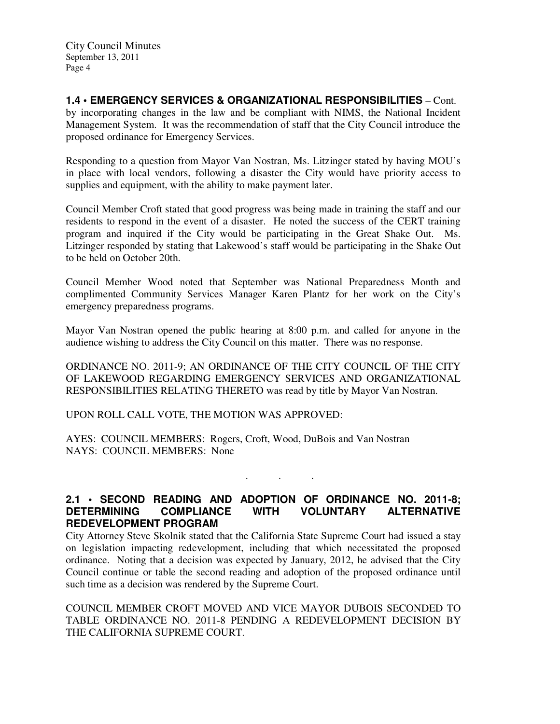**1.4 • EMERGENCY SERVICES & ORGANIZATIONAL RESPONSIBILITIES** – Cont. by incorporating changes in the law and be compliant with NIMS, the National Incident Management System. It was the recommendation of staff that the City Council introduce the proposed ordinance for Emergency Services.

Responding to a question from Mayor Van Nostran, Ms. Litzinger stated by having MOU's in place with local vendors, following a disaster the City would have priority access to supplies and equipment, with the ability to make payment later.

Council Member Croft stated that good progress was being made in training the staff and our residents to respond in the event of a disaster. He noted the success of the CERT training program and inquired if the City would be participating in the Great Shake Out. Ms. Litzinger responded by stating that Lakewood's staff would be participating in the Shake Out to be held on October 20th.

Council Member Wood noted that September was National Preparedness Month and complimented Community Services Manager Karen Plantz for her work on the City's emergency preparedness programs.

Mayor Van Nostran opened the public hearing at 8:00 p.m. and called for anyone in the audience wishing to address the City Council on this matter. There was no response.

ORDINANCE NO. 2011-9; AN ORDINANCE OF THE CITY COUNCIL OF THE CITY OF LAKEWOOD REGARDING EMERGENCY SERVICES AND ORGANIZATIONAL RESPONSIBILITIES RELATING THERETO was read by title by Mayor Van Nostran.

UPON ROLL CALL VOTE, THE MOTION WAS APPROVED:

AYES: COUNCIL MEMBERS: Rogers, Croft, Wood, DuBois and Van Nostran NAYS: COUNCIL MEMBERS: None

. . .

# **2.1 • SECOND READING AND ADOPTION OF ORDINANCE NO. 2011-8; DETERMINING COMPLIANCE WITH VOLUNTARY ALTERNATIVE REDEVELOPMENT PROGRAM**

City Attorney Steve Skolnik stated that the California State Supreme Court had issued a stay on legislation impacting redevelopment, including that which necessitated the proposed ordinance. Noting that a decision was expected by January, 2012, he advised that the City Council continue or table the second reading and adoption of the proposed ordinance until such time as a decision was rendered by the Supreme Court.

COUNCIL MEMBER CROFT MOVED AND VICE MAYOR DUBOIS SECONDED TO TABLE ORDINANCE NO. 2011-8 PENDING A REDEVELOPMENT DECISION BY THE CALIFORNIA SUPREME COURT.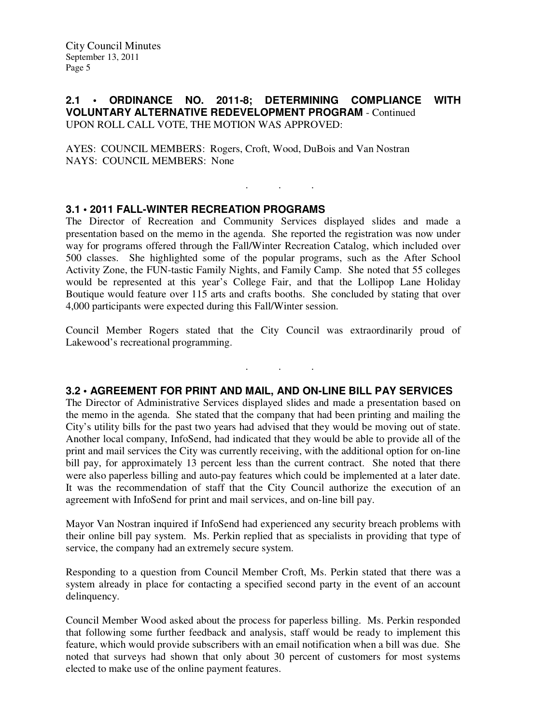### **2.1 • ORDINANCE NO. 2011-8; DETERMINING COMPLIANCE WITH VOLUNTARY ALTERNATIVE REDEVELOPMENT PROGRAM** - Continued UPON ROLL CALL VOTE, THE MOTION WAS APPROVED:

. . .

AYES: COUNCIL MEMBERS: Rogers, Croft, Wood, DuBois and Van Nostran NAYS: COUNCIL MEMBERS: None

# **3.1 • 2011 FALL-WINTER RECREATION PROGRAMS**

The Director of Recreation and Community Services displayed slides and made a presentation based on the memo in the agenda. She reported the registration was now under way for programs offered through the Fall/Winter Recreation Catalog, which included over 500 classes. She highlighted some of the popular programs, such as the After School Activity Zone, the FUN-tastic Family Nights, and Family Camp. She noted that 55 colleges would be represented at this year's College Fair, and that the Lollipop Lane Holiday Boutique would feature over 115 arts and crafts booths. She concluded by stating that over 4,000 participants were expected during this Fall/Winter session.

Council Member Rogers stated that the City Council was extraordinarily proud of Lakewood's recreational programming.

. . .

### **3.2 • AGREEMENT FOR PRINT AND MAIL, AND ON-LINE BILL PAY SERVICES**

The Director of Administrative Services displayed slides and made a presentation based on the memo in the agenda. She stated that the company that had been printing and mailing the City's utility bills for the past two years had advised that they would be moving out of state. Another local company, InfoSend, had indicated that they would be able to provide all of the print and mail services the City was currently receiving, with the additional option for on-line bill pay, for approximately 13 percent less than the current contract. She noted that there were also paperless billing and auto-pay features which could be implemented at a later date. It was the recommendation of staff that the City Council authorize the execution of an agreement with InfoSend for print and mail services, and on-line bill pay.

Mayor Van Nostran inquired if InfoSend had experienced any security breach problems with their online bill pay system. Ms. Perkin replied that as specialists in providing that type of service, the company had an extremely secure system.

Responding to a question from Council Member Croft, Ms. Perkin stated that there was a system already in place for contacting a specified second party in the event of an account delinquency.

Council Member Wood asked about the process for paperless billing. Ms. Perkin responded that following some further feedback and analysis, staff would be ready to implement this feature, which would provide subscribers with an email notification when a bill was due. She noted that surveys had shown that only about 30 percent of customers for most systems elected to make use of the online payment features.